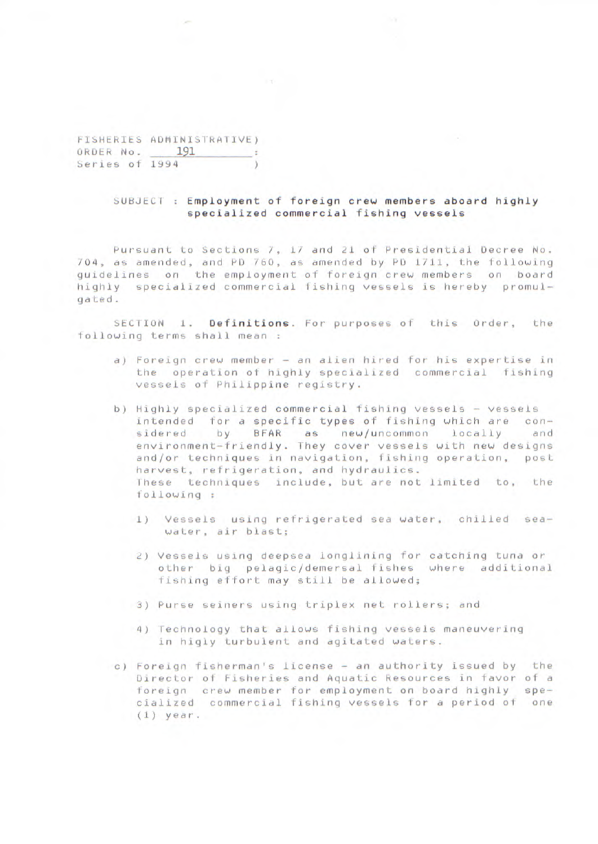FISHERIES ADMINISTRATIVE) ORDER No. 191 Series of 1994 )

p.

## SUBJECT : Employment of foreign crew members aboard highly specialized commercial fishing vessels

Pursuant to Sections 7, 17 and 21 of Presidential Decree No. 704, as amended, and PD 760, as amended by PD 1711, the following guidelines on the employment of foreign crew members on board highly specialized commercial fishing vessels is hereby promulgated .

SECTION 1. Definitions. For purposes of this Order, the following terms shall mean

- a) Foreign crew member an alien hired for his expertise in the operation of highly specialized commercial fishing vessels of Philippine registry.
- b) Highly specialized commercial fishing vessels vessels intended for a specific types of fishing which are considered by BFAR as new/uncommon locally and environment—friendly. They cover vessels with new designs and/or techniques in navigation, fishing operation, post harvest, refrigeration, and hydraulics. These techniques include, but are not limited to, the following
	- **1) Vessels** using refrigerated sea water, chilled seawater, air blast;
	- 2) Vessels using deepsea longlining for catching tuna or other big pelagic/demersal fishes where additional fishing effort may still be allowed;
	- 3) Purse seiners using triplex net rollers; and
	- 4) Technology that allows fishing vessels maneuvering in higly turbulent and agitated waters.
- c) Foreign fisherman's license an authority issued by the Director of Fisheries and Aquatic Resources in favor of a foreign crew member for employment on board highly specialized commercial fishing vessels for a period of one (1) year.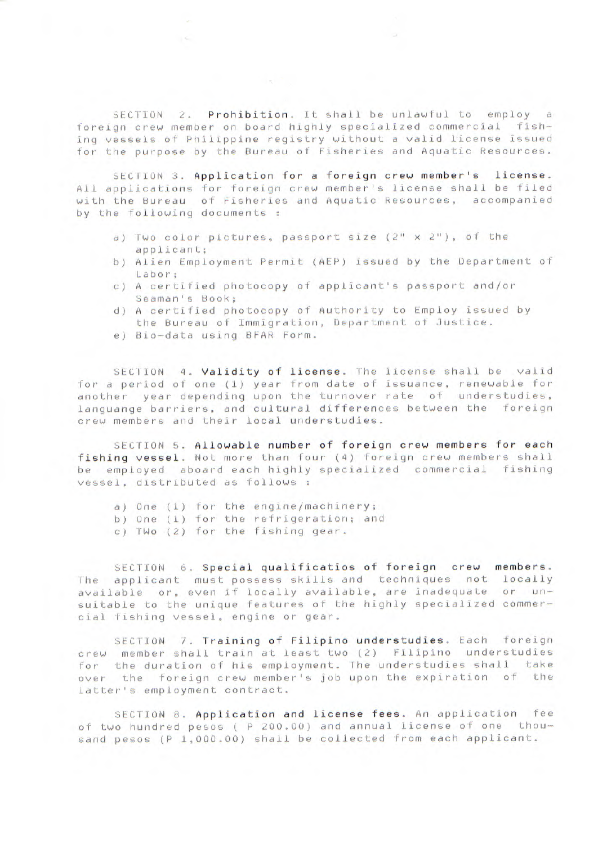SECTION 2. Prohibition. It shall be unlawful to employ a foreign crew member on board highly specialized commercial fishing vessels of Philippine registry without a valid license issued for the purpose by the Bureau of Fisheries and Aquatic Resources.

SECTION 3. Application for a foreign crew member's license. All applications for foreign crew member's license shall be filed with the Bureau of Fisheries and Aquatic Resources, accompanied by the following documents :

- a) Two color pictures, passport size (2" x 2"), of the applicant;
- b) Alien Employment Permit (AEP) issued by the Department of Labor;
- c) A certified photocopy of applicant's passport and/or Seaman's Book;
- d) A certified photocopy of Authority to Employ issued by the Bureau of Immigration, Department of Justice.
- e) Bio—data using BFAR Form.

SECTION 4. Validity of license. The license shall be valid -for a period of one (1) year from date of issuance, renewable for another year depending upon the turnover rate of understudies, languange barriers, and cultural differences between the foreign crew members and their local understudies.

SECTION 5. Allowable number of foreign crew members for each fishing vessel. Not more than four (4) foreign crew members shall be employed aboard each highly specialized commercial fishing vessel, distributed as follows

a) One (1) for the engine/machinery;

b) One (1) for the refrigeration; and

c) TWo (2) for the fishing gear.

SECTION 6. Special qualificatios of foreign crew members. The applicant must possess skills and techniques not locally available or, even if locally available, are inadequate or unsuitable to the unique features of the highly specialized commercial fishing vessel, engine or gear.

SECTION 7. Training of Filipino understudies. Each foreign crew member shall train at least two (2) Filipino understudies for the duration of his employment. The understudies shall take over the foreign crew member's job upon the expiration of the latter's employment contract.

SECTION 8. Application and license fees. An application fee of two hundred pesos ( P 200.00) and annual license of one thousand pesos (P 1,000.00) shall be collected from each applicant.